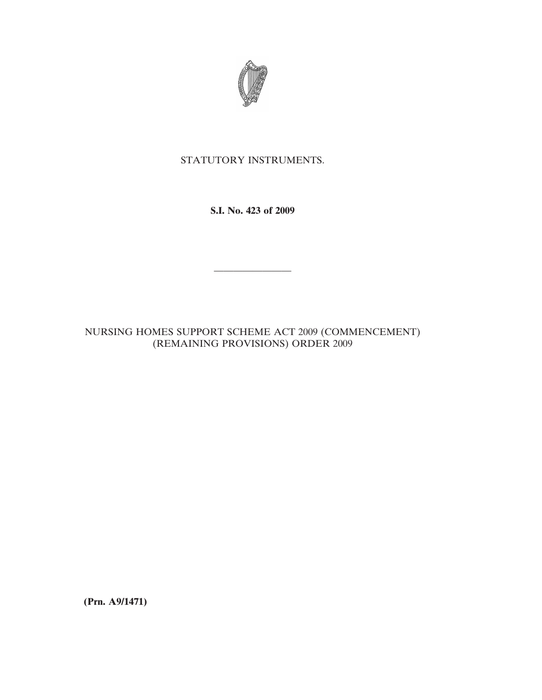

## STATUTORY INSTRUMENTS.

**S.I. No. 423 of 2009**

————————

NURSING HOMES SUPPORT SCHEME ACT 2009 (COMMENCEMENT) (REMAINING PROVISIONS) ORDER 2009

**(Prn. A9/1471)**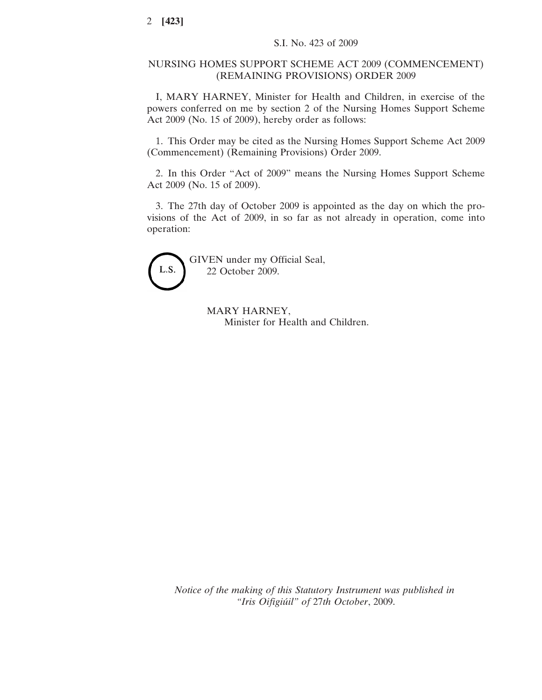## NURSING HOMES SUPPORT SCHEME ACT 2009 (COMMENCEMENT) (REMAINING PROVISIONS) ORDER 2009

I, MARY HARNEY, Minister for Health and Children, in exercise of the powers conferred on me by section 2 of the Nursing Homes Support Scheme Act 2009 (No. 15 of 2009), hereby order as follows:

1. This Order may be cited as the Nursing Homes Support Scheme Act 2009 (Commencement) (Remaining Provisions) Order 2009.

2. In this Order "Act of 2009" means the Nursing Homes Support Scheme Act 2009 (No. 15 of 2009).

3. The 27th day of October 2009 is appointed as the day on which the provisions of the Act of 2009, in so far as not already in operation, come into operation:



GIVEN under my Official Seal, 22 October 2009.

> MARY HARNEY, Minister for Health and Children.

*Notice of the making of this Statutory Instrument was published in "Iris Oifigiu´il" of* 27*th October*, 2009.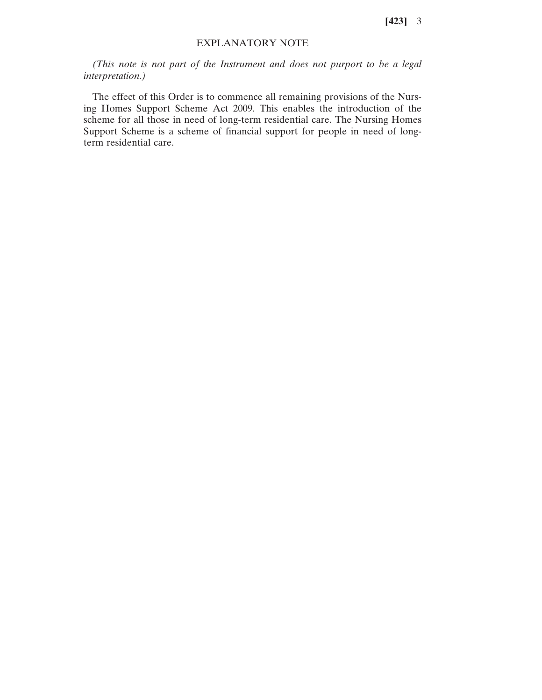**[423]** 3

## EXPLANATORY NOTE

*(This note is not part of the Instrument and does not purport to be a legal interpretation.)*

The effect of this Order is to commence all remaining provisions of the Nursing Homes Support Scheme Act 2009. This enables the introduction of the scheme for all those in need of long-term residential care. The Nursing Homes Support Scheme is a scheme of financial support for people in need of longterm residential care.